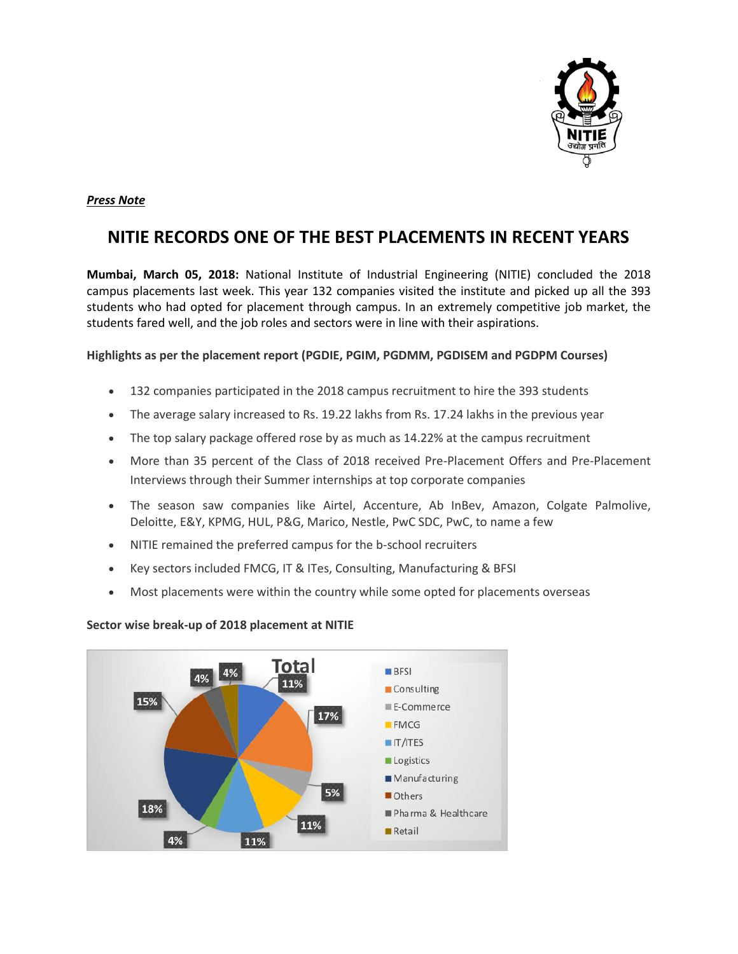

## *Press Note*

# **NITIE RECORDS ONE OF THE BEST PLACEMENTS IN RECENT YEARS**

**Mumbai, March 05, 2018:** National Institute of Industrial Engineering (NITIE) concluded the 2018 campus placements last week. This year 132 companies visited the institute and picked up all the 393 students who had opted for placement through campus. In an extremely competitive job market, the students fared well, and the job roles and sectors were in line with their aspirations.

#### **Highlights as per the placement report (PGDIE, PGIM, PGDMM, PGDISEM and PGDPM Courses)**

- 132 companies participated in the 2018 campus recruitment to hire the 393 students
- The average salary increased to Rs. 19.22 lakhs from Rs. 17.24 lakhs in the previous year
- The top salary package offered rose by as much as 14.22% at the campus recruitment
- More than 35 percent of the Class of 2018 received Pre-Placement Offers and Pre-Placement Interviews through their Summer internships at top corporate companies
- The season saw companies like Airtel, Accenture, Ab InBev, Amazon, Colgate Palmolive, Deloitte, E&Y, KPMG, HUL, P&G, Marico, Nestle, PwC SDC, PwC, to name a few
- NITIE remained the preferred campus for the b-school recruiters
- Key sectors included FMCG, IT & ITes, Consulting, Manufacturing & BFSI
- Most placements were within the country while some opted for placements overseas



#### **Sector wise break-up of 2018 placement at NITIE**